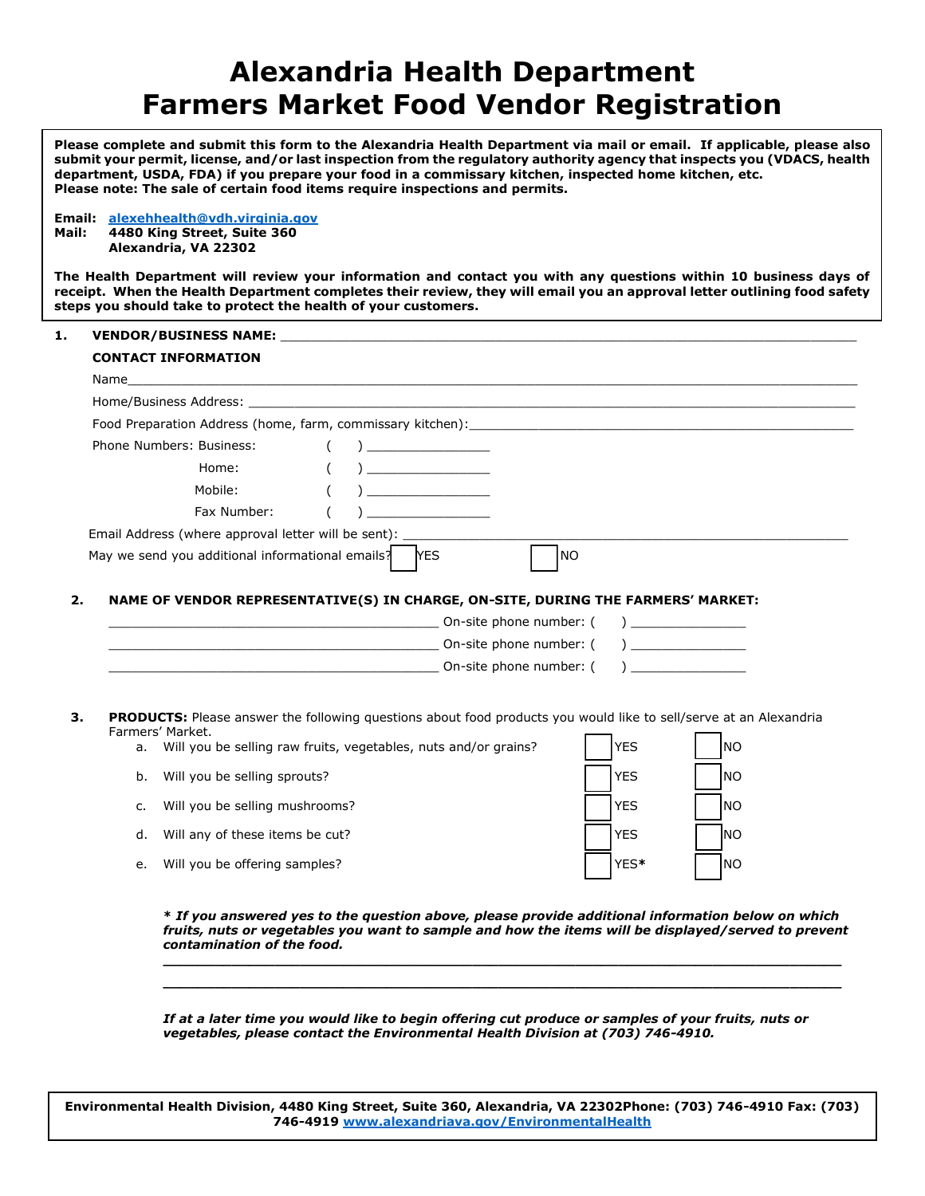## **Alexandria Health Department Farmers Market Food Vendor Registration**

**Please complete and submit this form to the Alexandria Health Department via mail or email. If applicable, please also submit your permit, license, and/or last inspection from the regulatory authority agency that inspects you (VDACS, health department, USDA, FDA) if you prepare your food in a commissary kitchen, inspected home kitchen, etc. Please note: The sale of certain food items require inspections and permits.**

**Email: [alexehhealth@vdh.virginia.gov](mailto:alexehhealth@vdh.virginia.gov) Mail: 4480 King Street, Suite 360 Alexandria, VA 22302**

**The Health Department will review your information and contact you with any questions within 10 business days of receipt. When the Health Department completes their review, they will email you an approval letter outlining food safety steps you should take to protect the health of your customers.** 

## 1. **VENDOR/BUSINESS NAME:**

| Food Preparation Address (home, farm, commissary kitchen): [11] The Contract of Preparation Address (home, farm, commissary kitchen):                                                                                               |             |                                           |
|-------------------------------------------------------------------------------------------------------------------------------------------------------------------------------------------------------------------------------------|-------------|-------------------------------------------|
| Phone Numbers: Business:<br>$\sqrt{2}$                                                                                                                                                                                              |             |                                           |
| Home:<br>$\overline{a}$<br>$\left($                                                                                                                                                                                                 |             |                                           |
| Mobile:<br>$\sqrt{2}$                                                                                                                                                                                                               |             |                                           |
| Fax Number:                                                                                                                                                                                                                         |             |                                           |
| Email Address (where approval letter will be sent):                                                                                                                                                                                 |             |                                           |
| May we send you additional informational emails? NES                                                                                                                                                                                | <b>NO</b>   |                                           |
|                                                                                                                                                                                                                                     |             |                                           |
|                                                                                                                                                                                                                                     |             |                                           |
| NAME OF VENDOR REPRESENTATIVE(S) IN CHARGE, ON-SITE, DURING THE FARMERS' MARKET:                                                                                                                                                    |             |                                           |
| <b>Example 1</b> Constant Constant Constant Constant Constant Constant Constant Constant Constant Constant Constant Constant Constant Constant Constant Constant Constant Constant Constant Constant Constant Constant Constant Con |             | $\overline{a}$                            |
|                                                                                                                                                                                                                                     |             | ) and the set of $\overline{\phantom{a}}$ |
|                                                                                                                                                                                                                                     |             | $\lambda$                                 |
| <b>Example 1</b> Constant Constant Constant Constant Constant Constant Constant Constant Constant Constant Constant Constant Constant Constant Constant Constant Constant Constant Constant Constant Constant Constant Constant Con |             |                                           |
|                                                                                                                                                                                                                                     |             |                                           |
| PRODUCTS: Please answer the following questions about food products you would like to sell/serve at an Alexandria                                                                                                                   |             |                                           |
| Farmers' Market.<br>а.                                                                                                                                                                                                              | <b>IYES</b> | <b>INO</b>                                |
| Will you be selling raw fruits, vegetables, nuts and/or grains?                                                                                                                                                                     |             |                                           |
| Will you be selling sprouts?<br>b.                                                                                                                                                                                                  | <b>YES</b>  | <b>INO</b>                                |
| Will you be selling mushrooms?<br>$C_{1}$                                                                                                                                                                                           | <b>YES</b>  | <b>INO</b>                                |
|                                                                                                                                                                                                                                     |             |                                           |
| Will any of these items be cut?<br>d.                                                                                                                                                                                               | <b>YES</b>  | <b>INO</b>                                |

**\*** *If you answered yes to the question above, please provide additional information below on which fruits, nuts or vegetables you want to sample and how the items will be displayed/served to prevent contamination of the food.* 

**\_\_\_\_\_\_\_\_\_\_\_\_\_\_\_\_\_\_\_\_\_\_\_\_\_\_\_\_\_\_\_\_\_\_\_\_\_\_\_\_\_\_\_\_\_\_\_\_\_\_\_\_\_\_\_\_\_\_\_\_\_\_\_\_\_\_\_\_\_\_\_\_\_\_\_\_\_\_\_ \_\_\_\_\_\_\_\_\_\_\_\_\_\_\_\_\_\_\_\_\_\_\_\_\_\_\_\_\_\_\_\_\_\_\_\_\_\_\_\_\_\_\_\_\_\_\_\_\_\_\_\_\_\_\_\_\_\_\_\_\_\_\_\_\_\_\_\_\_\_\_\_\_\_\_\_\_\_\_**

*If at a later time you would like to begin offering cut produce or samples of your fruits, nuts or vegetables, please contact the Environmental Health Division at (703) 746-4910.*

**Environmental Health Division, 4480 King Street, Suite 360, Alexandria, VA 22302Phone: (703) 746-4910 Fax: (703) 746-4919 [www.alexandriava.gov/EnvironmentalHealth](http://www.alexandriava.gov/EnvironmentalHealth)**